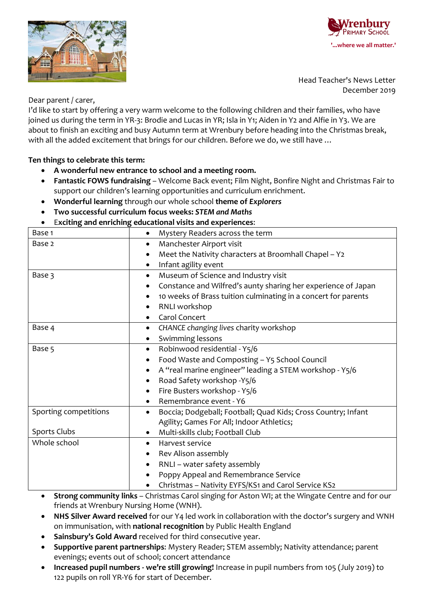**IMARY SCHOOL** 



Head Teacher's News Letter December 2019

Dear parent / carer,

I'd like to start by offering a very warm welcome to the following children and their families, who have joined us during the term in YR-3: Brodie and Lucas in YR; Isla in Y1; Aiden in Y2 and Alfie in Y3. We are about to finish an exciting and busy Autumn term at Wrenbury before heading into the Christmas break, with all the added excitement that brings for our children. Before we do, we still have ...

# **Ten things to celebrate this term:**

- **A wonderful new entrance to school and a meeting room.**
- **Fantastic FOWS fundraising**  Welcome Back event; Film Night, Bonfire Night and Christmas Fair to support our children's learning opportunities and curriculum enrichment.
- **Wonderful learning** through our whole school **theme of** *Explorers*
- **Two successful curriculum focus weeks:** *STEM and Maths*

# E**xciting and enriching educational visits and experiences**:

| Base 1                | Mystery Readers across the term                                      |
|-----------------------|----------------------------------------------------------------------|
| Base 2                | Manchester Airport visit<br>$\bullet$                                |
|                       | Meet the Nativity characters at Broomhall Chapel - Y2                |
|                       | Infant agility event<br>$\bullet$                                    |
| Base 3                | Museum of Science and Industry visit<br>$\bullet$                    |
|                       | Constance and Wilfred's aunty sharing her experience of Japan<br>٠   |
|                       | 10 weeks of Brass tuition culminating in a concert for parents       |
|                       | RNLI workshop<br>٠                                                   |
|                       | Carol Concert<br>$\bullet$                                           |
| Base 4                | CHANCE changing lives charity workshop<br>$\bullet$                  |
|                       | Swimming lessons<br>$\bullet$                                        |
| Base 5                | Robinwood residential - Y5/6<br>$\bullet$                            |
|                       | Food Waste and Composting - Y5 School Council<br>$\bullet$           |
|                       | A "real marine engineer" leading a STEM workshop - Y5/6<br>$\bullet$ |
|                       | Road Safety workshop -Y5/6<br>$\bullet$                              |
|                       | Fire Busters workshop - Y5/6<br>٠                                    |
|                       | Remembrance event - Y6                                               |
| Sporting competitions | Boccia; Dodgeball; Football; Quad Kids; Cross Country; Infant<br>٠   |
|                       | Agility; Games For All; Indoor Athletics;                            |
| Sports Clubs          | Multi-skills club; Football Club                                     |
| Whole school          | Harvest service<br>$\bullet$                                         |
|                       | Rev Alison assembly<br>$\bullet$                                     |
|                       | RNLI - water safety assembly                                         |
|                       | Poppy Appeal and Remembrance Service<br>$\bullet$                    |
|                       | Christmas - Nativity EYFS/KS1 and Carol Service KS2<br>$\bullet$     |
|                       |                                                                      |

- **Strong community links**  Christmas Carol singing for Aston WI; at the Wingate Centre and for our friends at Wrenbury Nursing Home (WNH).
- **NHS Silver Award received** for our Y4 led work in collaboration with the doctor's surgery and WNH on immunisation, with **national recognition** by Public Health England
- **Sainsbury's Gold Award** received for third consecutive year.
- **Supportive parent partnerships**: Mystery Reader; STEM assembly; Nativity attendance; parent evenings; events out of school; concert attendance
- **Increased pupil numbers - we're still growing!** Increase in pupil numbers from 105 (July 2019) to 122 pupils on roll YR-Y6 for start of December.